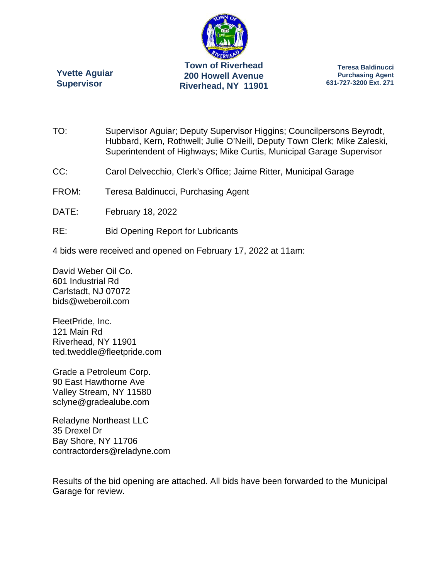

**Yvette Aguiar Supervisor** 

**Teresa Baldinucci Purchasing Agent 631-727-3200 Ext. 271** 

TO: Supervisor Aguiar; Deputy Supervisor Higgins; Councilpersons Beyrodt, Hubbard, Kern, Rothwell; Julie O'Neill, Deputy Town Clerk; Mike Zaleski, Superintendent of Highways; Mike Curtis, Municipal Garage Supervisor

- CC: Carol Delvecchio, Clerk's Office; Jaime Ritter, Municipal Garage
- FROM: Teresa Baldinucci, Purchasing Agent
- DATE: February 18, 2022
- RE: Bid Opening Report for Lubricants
- 4 bids were received and opened on February 17, 2022 at 11am:

David Weber Oil Co. 601 Industrial Rd Carlstadt, NJ 07072 bids@weberoil.com

FleetPride, Inc. 121 Main Rd Riverhead, NY 11901 ted.tweddle@fleetpride.com

Grade a Petroleum Corp. 90 East Hawthorne Ave Valley Stream, NY 11580 sclyne@gradealube.com

Reladyne Northeast LLC 35 Drexel Dr Bay Shore, NY 11706 contractorders@reladyne.com

Results of the bid opening are attached. All bids have been forwarded to the Municipal Garage for review.